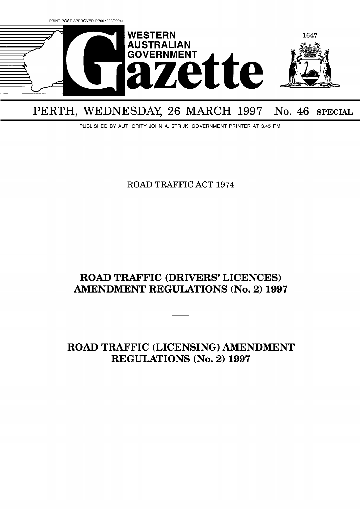

# PERTH, WEDNESDAY, 26 MARCH 1997 No. 46 SPECIAL

PUBLISHED BY AUTHORITY JOHN A. STRIJK, GOVERNMENT PRINTER AT 3.45 PM

ROAD TRAFFIC ACT 1974

# **ROAD TRAFFIC (DRIVERS' LICENCES) AMENDMENT REGULATIONS (No. 2) 1997**

**ROAD TRAFFIC (LICENSING) AMENDMENT REGULATIONS (No. 2) 1997**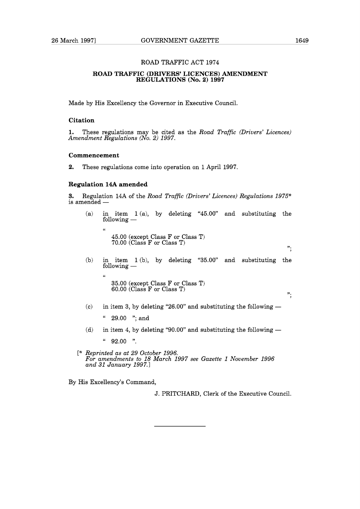#### ROAD TRAFFIC ACT 1974

#### **ROAD TRAFFIC (DRIVERS' LICENCES) AMENDMENT REGULATIONS (No. 2) 1997**

Made by His Excellency the Governor in Executive Council.

#### **Citation**

**1.** These regulations may be cited as the *Road Traffic (Drivers' Licences) Amendment Regulations (No. 2) 1997.* 

# **Commencement**

**2.** These regulations come into operation on 1 April 1997.

#### **Regulation 14A amended**

**(6** 

**(6** 

**3.** Regulation 14A of the *Road Traffic (Drivers' Licences) Regulations 1975%*  3. Regulation<br>is amended -

(a) in item  $1 (a)$ , by deleting "45.00" and substituting the  $\begin{array}{ll} \text{in} & \text{item} & 1 \ (\text{\emph{\texttt{g}}}) \ \text{following} & \end{array}$ 

> 45.00 (except Class F or Class T) 70.00 (Class F or Class T)

(b) in item  $1$  (b), by deleting "35.00" and substituting the  $\begin{array}{ll} \hbox{in} & \hbox{item} & 1 \hbox{ (k)} \ \hbox{following} & \hbox{---} \end{array}$ 

> 35.00 (except Class F or Class T) 60.00 (Class F or Class T)

(c) in item 3, by deleting "26.00" and substituting the following  $-$ 

" 29.00 "; and

- (d) in item 4, by deleting "90.00" and substituting the following  $-$ " 92.00 ".
- [\* *Reprinted as at 29 October 1996. For amendments to 18 March 1997 see Gazette 1 November 1996 and 31 January 1997.1*

By His Excellency's Command,

J. PRITCHARD, Clerk of the Executive Council.

";